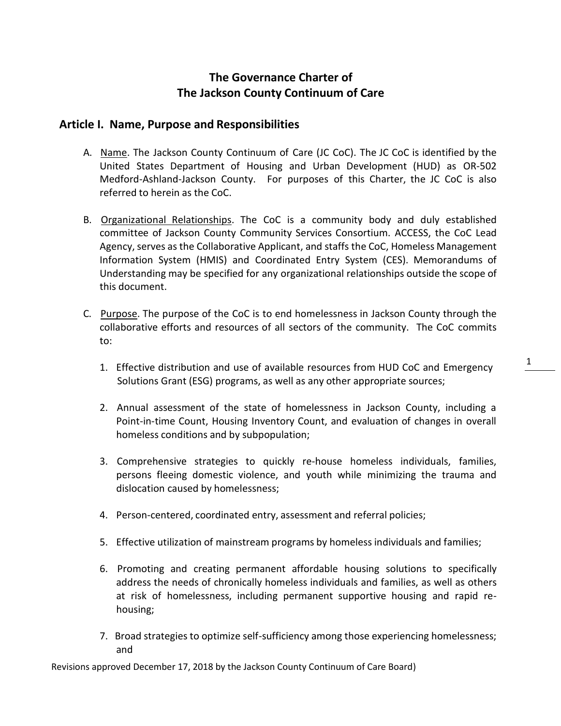# **The Governance Charter of The Jackson County Continuum of Care**

# **Article I. Name, Purpose and Responsibilities**

- A. Name. The Jackson County Continuum of Care (JC CoC). The JC CoC is identified by the United States Department of Housing and Urban Development (HUD) as OR-502 Medford-Ashland-Jackson County. For purposes of this Charter, the JC CoC is also referred to herein as the CoC.
- B. Organizational Relationships. The CoC is a community body and duly established committee of Jackson County Community Services Consortium. ACCESS, the CoC Lead Agency, serves as the Collaborative Applicant, and staffs the CoC, Homeless Management Information System (HMIS) and Coordinated Entry System (CES). Memorandums of Understanding may be specified for any organizational relationships outside the scope of this document.
- C. Purpose. The purpose of the CoC is to end homelessness in Jackson County through the collaborative efforts and resources of all sectors of the community. The CoC commits to:
	- 1. Effective distribution and use of available resources from HUD CoC and Emergency Solutions Grant (ESG) programs, as well as any other appropriate sources;
	- 2. Annual assessment of the state of homelessness in Jackson County, including a Point-in-time Count, Housing Inventory Count, and evaluation of changes in overall homeless conditions and by subpopulation;
	- 3. Comprehensive strategies to quickly re-house homeless individuals, families, persons fleeing domestic violence, and youth while minimizing the trauma and dislocation caused by homelessness;
	- 4. Person-centered, coordinated entry, assessment and referral policies;
	- 5. Effective utilization of mainstream programs by homeless individuals and families;
	- 6. Promoting and creating permanent affordable housing solutions to specifically address the needs of chronically homeless individuals and families, as well as others at risk of homelessness, including permanent supportive housing and rapid rehousing;
	- 7. Broad strategies to optimize self-sufficiency among those experiencing homelessness; and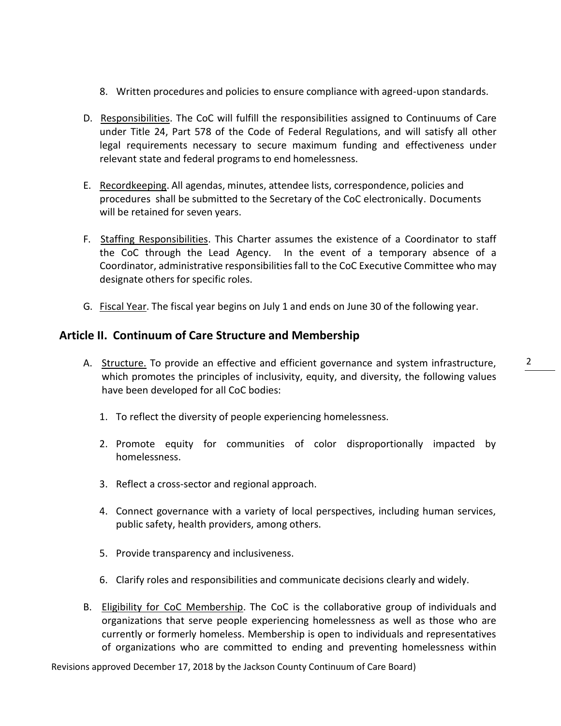- 8. Written procedures and policies to ensure compliance with agreed-upon standards.
- D. Responsibilities. The CoC will fulfill the responsibilities assigned to Continuums of Care under Title 24, Part 578 of the Code of Federal Regulations, and will satisfy all other legal requirements necessary to secure maximum funding and effectiveness under relevant state and federal programs to end homelessness.
- E. Recordkeeping. All agendas, minutes, attendee lists, correspondence, policies and procedures shall be submitted to the Secretary of the CoC electronically. Documents will be retained for seven years.
- F. Staffing Responsibilities. This Charter assumes the existence of a Coordinator to staff the CoC through the Lead Agency. In the event of a temporary absence of a Coordinator, administrative responsibilitiesfall to the CoC Executive Committee who may designate others for specific roles.
- G. Fiscal Year. The fiscal year begins on July 1 and ends on June 30 of the following year.

## **Article II. Continuum of Care Structure and Membership**

- A. Structure. To provide an effective and efficient governance and system infrastructure, which promotes the principles of inclusivity, equity, and diversity, the following values have been developed for all CoC bodies:
	- 1. To reflect the diversity of people experiencing homelessness.
	- 2. Promote equity for communities of color disproportionally impacted by homelessness.
	- 3. Reflect a cross-sector and regional approach.
	- 4. Connect governance with a variety of local perspectives, including human services, public safety, health providers, among others.
	- 5. Provide transparency and inclusiveness.
	- 6. Clarify roles and responsibilities and communicate decisions clearly and widely.
- B. Eligibility for CoC Membership. The CoC is the collaborative group of individuals and organizations that serve people experiencing homelessness as well as those who are currently or formerly homeless. Membership is open to individuals and representatives of organizations who are committed to ending and preventing homelessness within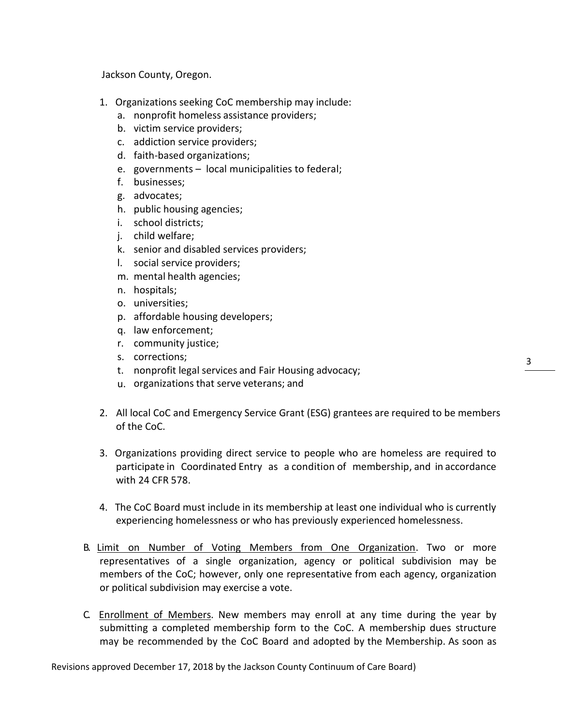Jackson County, Oregon.

- 1. Organizations seeking CoC membership may include:
	- a. nonprofit homeless assistance providers;
	- b. victim service providers;
	- c. addiction service providers;
	- d. faith-based organizations;
	- e. governments local municipalities to federal;
	- f. businesses;
	- g. advocates;
	- h. public housing agencies;
	- i. school districts;
	- j. child welfare;
	- k. senior and disabled services providers;
	- l. social service providers;
	- m. mental health agencies;
	- n. hospitals;
	- o. universities;
	- p. affordable housing developers;
	- q. law enforcement;
	- r. community justice;
	- s. corrections;
	- t. nonprofit legal services and Fair Housing advocacy;
	- u. organizations that serve veterans; and
- 2. All local CoC and Emergency Service Grant (ESG) grantees are required to be members of the CoC.
- 3. Organizations providing direct service to people who are homeless are required to participate in Coordinated Entry as a condition of membership, and in accordance with 24 CFR 578.
- 4. The CoC Board must include in its membership at least one individual who is currently experiencing homelessness or who has previously experienced homelessness.
- B. Limit on Number of Voting Members from One Organization. Two or more representatives of a single organization, agency or political subdivision may be members of the CoC; however, only one representative from each agency, organization or political subdivision may exercise a vote.
- C. Enrollment of Members. New members may enroll at any time during the year by submitting a completed membership form to the CoC. A membership dues structure may be recommended by the CoC Board and adopted by the Membership. As soon as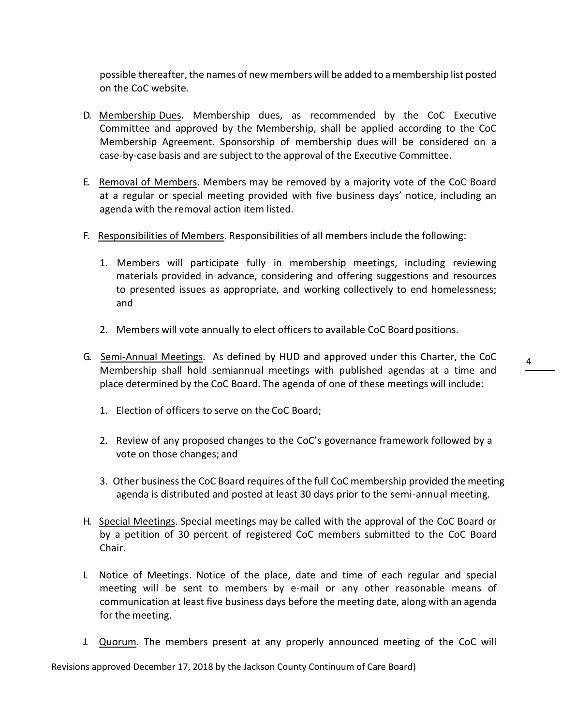possible thereafter, the names of new members will be added to a membership list posted on the CoC website.

- D. Membership Dues. Membership dues, as recommended by the CoC Executive Committee and approved by the Membership, shall be applied according to the CoC Membership Agreement. Sponsorship of membership dues will be considered on a case-by-case basis and are subject to the approval of the Executive Committee.
- E. Removal of Members. Members may be removed by a majority vote of the CoC Board at a regular or special meeting provided with five business days' notice, including an agenda with the removal action item listed.
- F. Responsibilities of Members. Responsibilities of all members include the following:
	- 1. Members will participate fully in membership meetings, including reviewing materials provided in advance, considering and offering suggestions and resources to presented issues as appropriate, and working collectively to end homelessness; and
	- 2. Members will vote annually to elect officers to available CoC Board positions.
- G. Semi-Annual Meetings. As defined by HUD and approved under this Charter, the CoC Membership shall hold semiannual meetings with published agendas at a time and place determined by the CoC Board. The agenda of one of these meetings will include:
	- 1. Election of officers to serve on the CoC Board;
	- 2. Review of any proposed changes to the CoC's governance framework followed by a vote on those changes; and
	- 3. Other businessthe CoC Board requires of the full CoC membership provided the meeting agenda is distributed and posted at least 30 days prior to the semi-annual meeting.
- H. Special Meetings. Special meetings may be called with the approval of the CoC Board or by a petition of 30 percent of registered CoC members submitted to the CoC Board Chair.
- I. Notice of Meetings. Notice of the place, date and time of each regular and special meeting will be sent to members by e-mail or any other reasonable means of communication at least five business days before the meeting date, along with an agenda for the meeting.
- J. **Quorum**. The members present at any properly announced meeting of the CoC will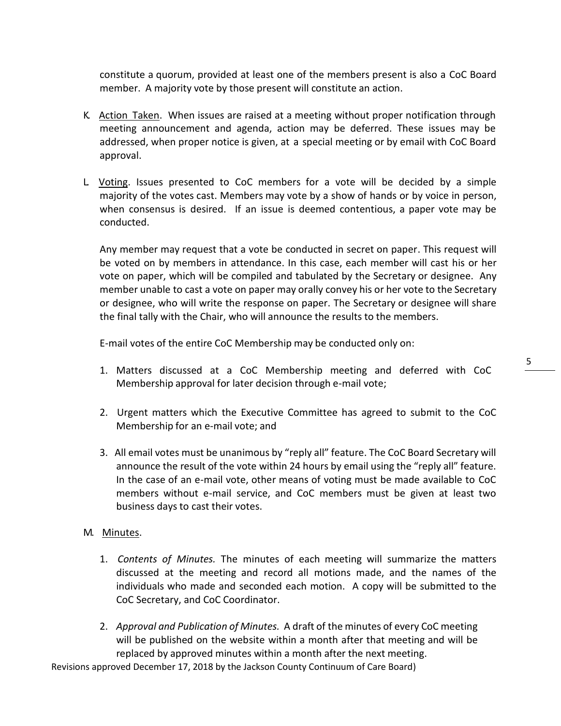constitute a quorum, provided at least one of the members present is also a CoC Board member. A majority vote by those present will constitute an action.

- K. Action Taken. When issues are raised at a meeting without proper notification through meeting announcement and agenda, action may be deferred. These issues may be addressed, when proper notice is given, at a special meeting or by email with CoC Board approval.
- L. Voting. Issues presented to CoC members for a vote will be decided by a simple majority of the votes cast. Members may vote by a show of hands or by voice in person, when consensus is desired. If an issue is deemed contentious, a paper vote may be conducted.

Any member may request that a vote be conducted in secret on paper. This request will be voted on by members in attendance. In this case, each member will cast his or her vote on paper, which will be compiled and tabulated by the Secretary or designee. Any member unable to cast a vote on paper may orally convey his or her vote to the Secretary or designee, who will write the response on paper. The Secretary or designee will share the final tally with the Chair, who will announce the results to the members.

E-mail votes of the entire CoC Membership may be conducted only on:

- 1. Matters discussed at a CoC Membership meeting and deferred with CoC Membership approval for later decision through e-mail vote;
- 2. Urgent matters which the Executive Committee has agreed to submit to the CoC Membership for an e-mail vote; and
- 3. All email votes must be unanimous by "reply all" feature. The CoC Board Secretary will announce the result of the vote within 24 hours by email using the "reply all" feature. In the case of an e-mail vote, other means of voting must be made available to CoC members without e-mail service, and CoC members must be given at least two business days to cast their votes.

#### M. Minutes.

- 1. *Contents of Minutes.* The minutes of each meeting will summarize the matters discussed at the meeting and record all motions made, and the names of the individuals who made and seconded each motion. A copy will be submitted to the CoC Secretary, and CoC Coordinator.
- 2. *Approval and Publication of Minutes.* A draft of the minutes of every CoC meeting will be published on the website within a month after that meeting and will be replaced by approved minutes within a month after the next meeting.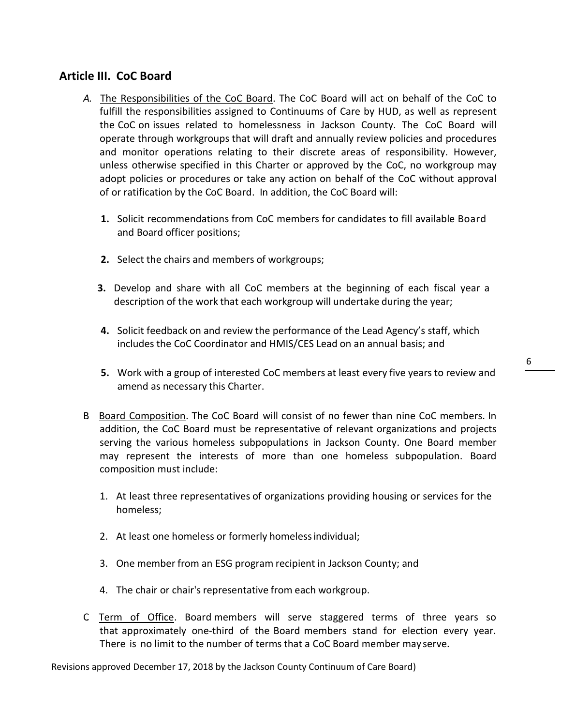# **Article III. CoC Board**

- *A.* The Responsibilities of the CoC Board. The CoC Board will act on behalf of the CoC to fulfill the responsibilities assigned to Continuums of Care by HUD, as well as represent the CoC on issues related to homelessness in Jackson County. The CoC Board will operate through workgroups that will draft and annually review policies and procedures and monitor operations relating to their discrete areas of responsibility. However, unless otherwise specified in this Charter or approved by the CoC, no workgroup may adopt policies or procedures or take any action on behalf of the CoC without approval of or ratification by the CoC Board. In addition, the CoC Board will:
	- **1.** Solicit recommendations from CoC members for candidates to fill available Board and Board officer positions;
	- **2.** Select the chairs and members of workgroups;
	- **3.** Develop and share with all CoC members at the beginning of each fiscal year a description of the work that each workgroup will undertake during the year;
	- **4.** Solicit feedback on and review the performance of the Lead Agency's staff, which includes the CoC Coordinator and HMIS/CES Lead on an annual basis; and
	- **5.** Work with a group of interested CoC members at least every five years to review and amend as necessary this Charter.
- B. Board Composition. The CoC Board will consist of no fewer than nine CoC members. In addition, the CoC Board must be representative of relevant organizations and projects serving the various homeless subpopulations in Jackson County. One Board member may represent the interests of more than one homeless subpopulation. Board composition must include:
	- 1. At least three representatives of organizations providing housing or services for the homeless;
	- 2. At least one homeless or formerly homelessindividual;
	- 3. One member from an ESG program recipient in Jackson County; and
	- 4. The chair or chair's representative from each workgroup.
- C. Term of Office. Board members will serve staggered terms of three years so that approximately one-third of the Board members stand for election every year. There is no limit to the number of terms that a CoC Board member may serve.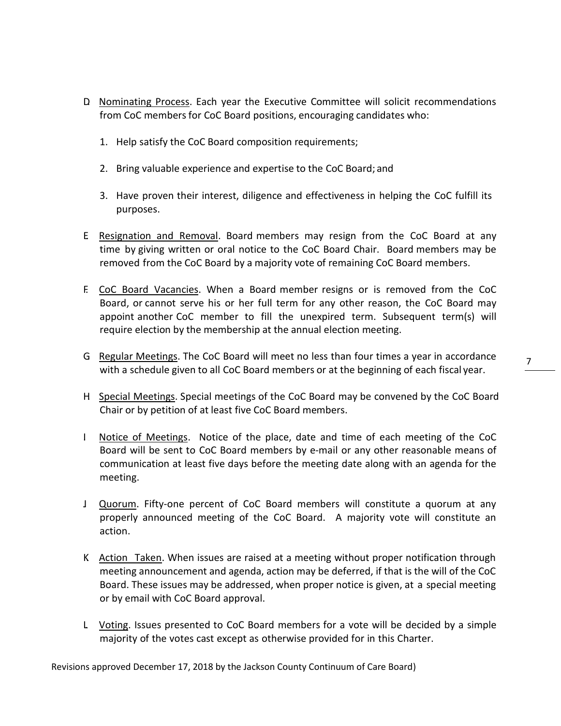- D. Nominating Process. Each year the Executive Committee will solicit recommendations from CoC members for CoC Board positions, encouraging candidates who:
	- 1. Help satisfy the CoC Board composition requirements;
	- 2. Bring valuable experience and expertise to the CoC Board; and
	- 3. Have proven their interest, diligence and effectiveness in helping the CoC fulfill its purposes.
- E. Resignation and Removal. Board members may resign from the CoC Board at any time by giving written or oral notice to the CoC Board Chair. Board members may be removed from the CoC Board by a majority vote of remaining CoC Board members.
- F. CoC Board Vacancies. When a Board member resigns or is removed from the CoC Board, or cannot serve his or her full term for any other reason, the CoC Board may appoint another CoC member to fill the unexpired term. Subsequent term(s) will require election by the membership at the annual election meeting.
- G. Regular Meetings. The CoC Board will meet no less than four times a year in accordance with a schedule given to all CoC Board members or at the beginning of each fiscal year.
- H. Special Meetings. Special meetings of the CoC Board may be convened by the CoC Board Chair or by petition of at least five CoC Board members.
- I. Notice of Meetings. Notice of the place, date and time of each meeting of the CoC Board will be sent to CoC Board members by e-mail or any other reasonable means of communication at least five days before the meeting date along with an agenda for the meeting.
- J. Quorum. Fifty-one percent of CoC Board members will constitute a quorum at any properly announced meeting of the CoC Board. A majority vote will constitute an action.
- K. Action Taken. When issues are raised at a meeting without proper notification through meeting announcement and agenda, action may be deferred, if that is the will of the CoC Board. These issues may be addressed, when proper notice is given, at a special meeting or by email with CoC Board approval.
- L. Voting. Issues presented to CoC Board members for a vote will be decided by a simple majority of the votes cast except as otherwise provided for in this Charter.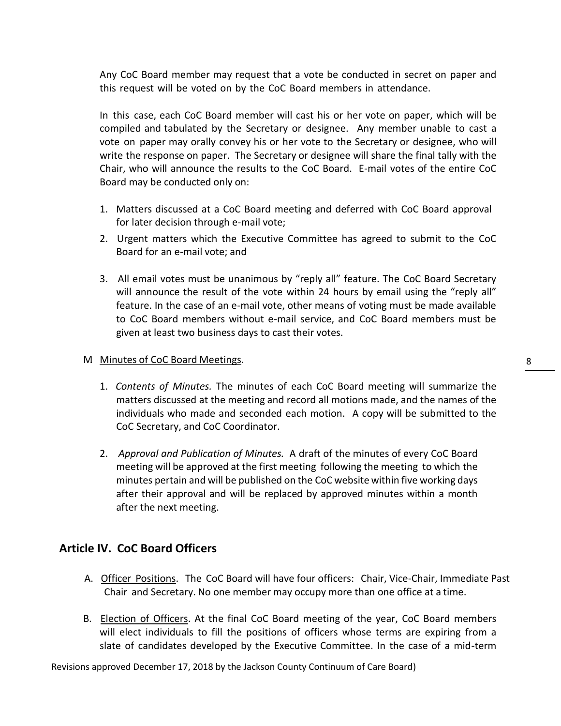Any CoC Board member may request that a vote be conducted in secret on paper and this request will be voted on by the CoC Board members in attendance.

In this case, each CoC Board member will cast his or her vote on paper, which will be compiled and tabulated by the Secretary or designee. Any member unable to cast a vote on paper may orally convey his or her vote to the Secretary or designee, who will write the response on paper. The Secretary or designee will share the final tally with the Chair, who will announce the results to the CoC Board. E-mail votes of the entire CoC Board may be conducted only on:

- 1. Matters discussed at a CoC Board meeting and deferred with CoC Board approval for later decision through e-mail vote;
- 2. Urgent matters which the Executive Committee has agreed to submit to the CoC Board for an e-mail vote; and
- 3. All email votes must be unanimous by "reply all" feature. The CoC Board Secretary will announce the result of the vote within 24 hours by email using the "reply all" feature. In the case of an e-mail vote, other means of voting must be made available to CoC Board members without e-mail service, and CoC Board members must be given at least two business days to cast their votes.

#### M. Minutes of CoC Board Meetings.

- 1. *Contents of Minutes.* The minutes of each CoC Board meeting will summarize the matters discussed at the meeting and record all motions made, and the names of the individuals who made and seconded each motion. A copy will be submitted to the CoC Secretary, and CoC Coordinator.
- 2. *Approval and Publication of Minutes.* A draft of the minutes of every CoC Board meeting will be approved at the first meeting following the meeting to which the minutes pertain and will be published on the CoC website within five working days after their approval and will be replaced by approved minutes within a month after the next meeting.

## **Article IV. CoC Board Officers**

- A. **Officer Positions.** The CoC Board will have four officers: Chair, Vice-Chair, Immediate Past Chair and Secretary. No one member may occupy more than one office at a time.
- B. Election of Officers. At the final CoC Board meeting of the year, CoC Board members will elect individuals to fill the positions of officers whose terms are expiring from a slate of candidates developed by the Executive Committee. In the case of a mid-term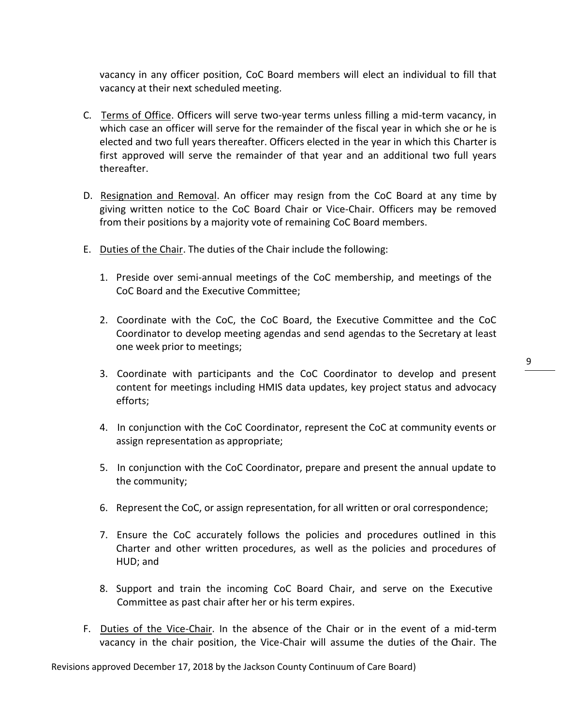vacancy in any officer position, CoC Board members will elect an individual to fill that vacancy at their next scheduled meeting.

- C. Terms of Office. Officers will serve two-year terms unless filling a mid-term vacancy, in which case an officer will serve for the remainder of the fiscal year in which she or he is elected and two full years thereafter. Officers elected in the year in which this Charter is first approved will serve the remainder of that year and an additional two full years thereafter.
- D. Resignation and Removal. An officer may resign from the CoC Board at any time by giving written notice to the CoC Board Chair or Vice-Chair. Officers may be removed from their positions by a majority vote of remaining CoC Board members.
- E. Duties of the Chair. The duties of the Chair include the following:
	- 1. Preside over semi-annual meetings of the CoC membership, and meetings of the CoC Board and the Executive Committee;
	- 2. Coordinate with the CoC, the CoC Board, the Executive Committee and the CoC Coordinator to develop meeting agendas and send agendas to the Secretary at least one week prior to meetings;
	- 3. Coordinate with participants and the CoC Coordinator to develop and present content for meetings including HMIS data updates, key project status and advocacy efforts;
	- 4. In conjunction with the CoC Coordinator, represent the CoC at community events or assign representation as appropriate;
	- 5. In conjunction with the CoC Coordinator, prepare and present the annual update to the community;
	- 6. Represent the CoC, or assign representation, for all written or oral correspondence;
	- 7. Ensure the CoC accurately follows the policies and procedures outlined in this Charter and other written procedures, as well as the policies and procedures of HUD; and
	- 8. Support and train the incoming CoC Board Chair, and serve on the Executive Committee as past chair after her or his term expires.
- F. Duties of the Vice-Chair. In the absence of the Chair or in the event of a mid-term vacancy in the chair position, the Vice-Chair will assume the duties of the Chair. The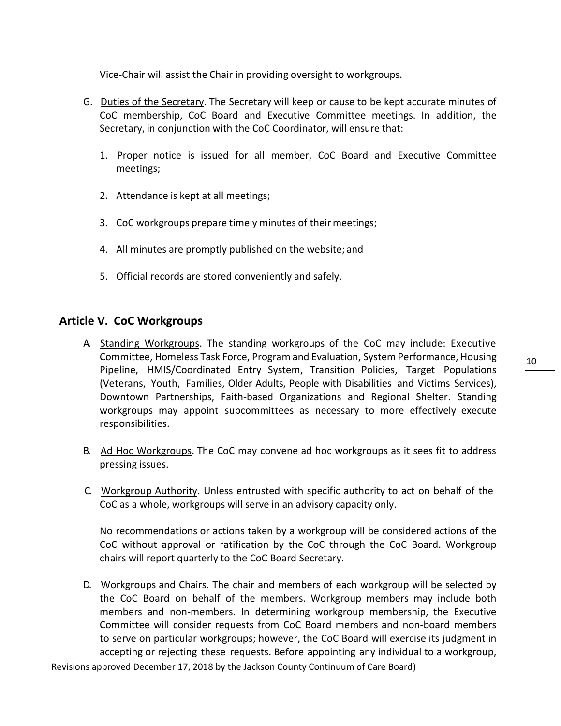Vice-Chair will assist the Chair in providing oversight to workgroups.

- G. Duties of the Secretary. The Secretary will keep or cause to be kept accurate minutes of CoC membership, CoC Board and Executive Committee meetings. In addition, the Secretary, in conjunction with the CoC Coordinator, will ensure that:
	- 1. Proper notice is issued for all member, CoC Board and Executive Committee meetings;
	- 2. Attendance is kept at all meetings;
	- 3. CoC workgroups prepare timely minutes of their meetings;
	- 4. All minutes are promptly published on the website; and
	- 5. Official records are stored conveniently and safely.

### **Article V. CoC Workgroups**

- A. Standing Workgroups. The standing workgroups of the CoC may include: Executive Committee, Homeless Task Force, Program and Evaluation, System Performance, Housing Pipeline, HMIS/Coordinated Entry System, Transition Policies, Target Populations (Veterans, Youth, Families, Older Adults, People with Disabilities and Victims Services), Downtown Partnerships, Faith-based Organizations and Regional Shelter. Standing workgroups may appoint subcommittees as necessary to more effectively execute responsibilities.
- B. Ad Hoc Workgroups. The CoC may convene ad hoc workgroups as it sees fit to address pressing issues.
- C. Workgroup Authority. Unless entrusted with specific authority to act on behalf of the CoC as a whole, workgroups will serve in an advisory capacity only.

No recommendations or actions taken by a workgroup will be considered actions of the CoC without approval or ratification by the CoC through the CoC Board. Workgroup chairs will report quarterly to the CoC Board Secretary.

D. Workgroups and Chairs. The chair and members of each workgroup will be selected by the CoC Board on behalf of the members. Workgroup members may include both members and non-members. In determining workgroup membership, the Executive Committee will consider requests from CoC Board members and non-board members to serve on particular workgroups; however, the CoC Board will exercise its judgment in accepting or rejecting these requests. Before appointing any individual to a workgroup,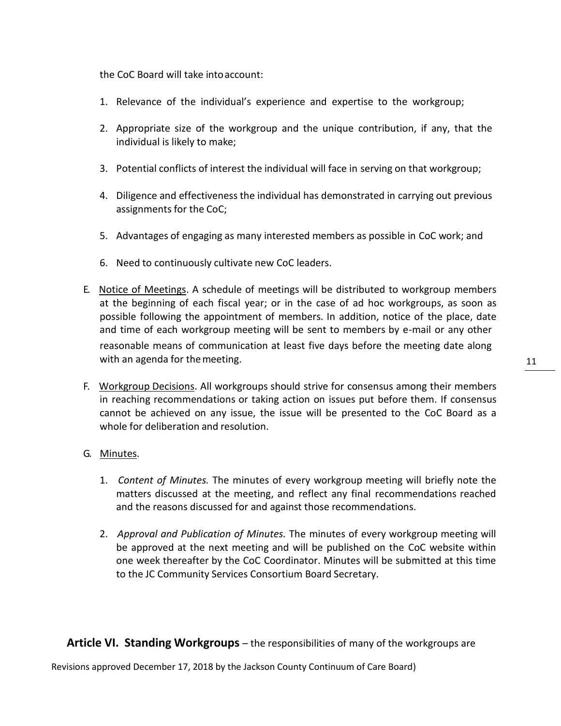the CoC Board will take intoaccount:

- 1. Relevance of the individual's experience and expertise to the workgroup;
- 2. Appropriate size of the workgroup and the unique contribution, if any, that the individual is likely to make;
- 3. Potential conflicts of interest the individual will face in serving on that workgroup;
- 4. Diligence and effectiveness the individual has demonstrated in carrying out previous assignments for the CoC;
- 5. Advantages of engaging as many interested members as possible in CoC work; and
- 6. Need to continuously cultivate new CoC leaders.
- E. Notice of Meetings. A schedule of meetings will be distributed to workgroup members at the beginning of each fiscal year; or in the case of ad hoc workgroups, as soon as possible following the appointment of members. In addition, notice of the place, date and time of each workgroup meeting will be sent to members by e-mail or any other reasonable means of communication at least five days before the meeting date along with an agenda for the meeting.
- F. Workgroup Decisions. All workgroups should strive for consensus among their members in reaching recommendations or taking action on issues put before them. If consensus cannot be achieved on any issue, the issue will be presented to the CoC Board as a whole for deliberation and resolution.
- G. Minutes.
	- 1. *Content of Minutes.* The minutes of every workgroup meeting will briefly note the matters discussed at the meeting, and reflect any final recommendations reached and the reasons discussed for and against those recommendations.
	- 2. *Approval and Publication of Minutes.* The minutes of every workgroup meeting will be approved at the next meeting and will be published on the CoC website within one week thereafter by the CoC Coordinator. Minutes will be submitted at this time to the JC Community Services Consortium Board Secretary.

**Article VI. Standing Workgroups** – the responsibilities of many of the workgroups are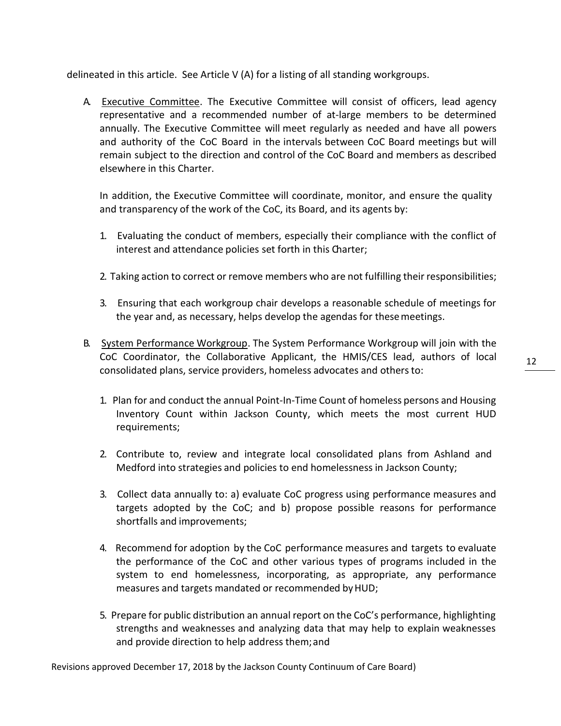delineated in this article. See Article V (A) for a listing of all standing workgroups.

A. Executive Committee. The Executive Committee will consist of officers, lead agency representative and a recommended number of at-large members to be determined annually. The Executive Committee will meet regularly as needed and have all powers and authority of the CoC Board in the intervals between CoC Board meetings but will remain subject to the direction and control of the CoC Board and members as described elsewhere in this Charter.

In addition, the Executive Committee will coordinate, monitor, and ensure the quality and transparency of the work of the CoC, its Board, and its agents by:

- 1. Evaluating the conduct of members, especially their compliance with the conflict of interest and attendance policies set forth in this Charter;
- 2. Taking action to correct or remove members who are not fulfilling their responsibilities;
- 3. Ensuring that each workgroup chair develops a reasonable schedule of meetings for the year and, as necessary, helps develop the agendas for thesemeetings.
- B. System Performance Workgroup. The System Performance Workgroup will join with the CoC Coordinator, the Collaborative Applicant, the HMIS/CES lead, authors of local consolidated plans, service providers, homeless advocates and othersto:
	- 1. Plan for and conduct the annual Point-In-Time Count of homeless persons and Housing Inventory Count within Jackson County, which meets the most current HUD requirements;
	- 2. Contribute to, review and integrate local consolidated plans from Ashland and Medford into strategies and policies to end homelessness in Jackson County;
	- 3. Collect data annually to: a) evaluate CoC progress using performance measures and targets adopted by the CoC; and b) propose possible reasons for performance shortfalls and improvements;
	- 4. Recommend for adoption by the CoC performance measures and targets to evaluate the performance of the CoC and other various types of programs included in the system to end homelessness, incorporating, as appropriate, any performance measures and targets mandated or recommended byHUD;
	- 5. Prepare for public distribution an annual report on the CoC's performance, highlighting strengths and weaknesses and analyzing data that may help to explain weaknesses and provide direction to help address them;and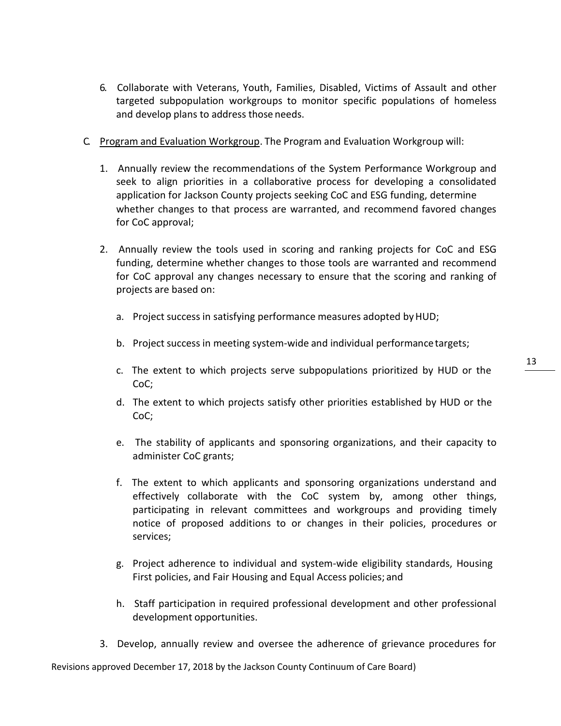- 6. Collaborate with Veterans, Youth, Families, Disabled, Victims of Assault and other targeted subpopulation workgroups to monitor specific populations of homeless and develop plans to address those needs.
- C. Program and Evaluation Workgroup. The Program and Evaluation Workgroup will:
	- 1. Annually review the recommendations of the System Performance Workgroup and seek to align priorities in a collaborative process for developing a consolidated application for Jackson County projects seeking CoC and ESG funding, determine whether changes to that process are warranted, and recommend favored changes for CoC approval;
	- 2. Annually review the tools used in scoring and ranking projects for CoC and ESG funding, determine whether changes to those tools are warranted and recommend for CoC approval any changes necessary to ensure that the scoring and ranking of projects are based on:
		- a. Project success in satisfying performance measures adopted by HUD;
		- b. Project success in meeting system-wide and individual performancetargets;
		- c. The extent to which projects serve subpopulations prioritized by HUD or the CoC;
		- d. The extent to which projects satisfy other priorities established by HUD or the CoC;
		- e. The stability of applicants and sponsoring organizations, and their capacity to administer CoC grants;
		- f. The extent to which applicants and sponsoring organizations understand and effectively collaborate with the CoC system by, among other things, participating in relevant committees and workgroups and providing timely notice of proposed additions to or changes in their policies, procedures or services;
		- g. Project adherence to individual and system-wide eligibility standards, Housing First policies, and Fair Housing and Equal Access policies; and
		- h. Staff participation in required professional development and other professional development opportunities.
	- 3. Develop, annually review and oversee the adherence of grievance procedures for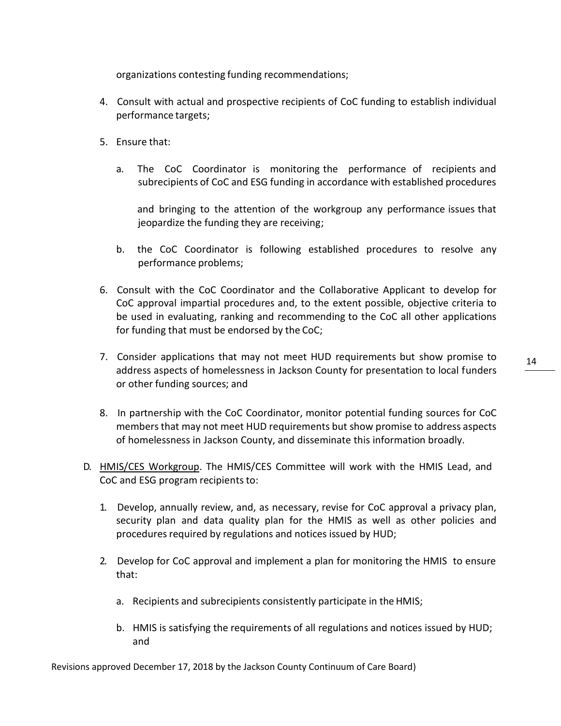organizations contesting funding recommendations;

- 4. Consult with actual and prospective recipients of CoC funding to establish individual performance targets;
- 5. Ensure that:
	- a. The CoC Coordinator is monitoring the performance of recipients and subrecipients of CoC and ESG funding in accordance with established procedures

and bringing to the attention of the workgroup any performance issues that jeopardize the funding they are receiving;

- b. the CoC Coordinator is following established procedures to resolve any performance problems;
- 6. Consult with the CoC Coordinator and the Collaborative Applicant to develop for CoC approval impartial procedures and, to the extent possible, objective criteria to be used in evaluating, ranking and recommending to the CoC all other applications for funding that must be endorsed by the CoC;
- 7. Consider applications that may not meet HUD requirements but show promise to address aspects of homelessness in Jackson County for presentation to local funders or other funding sources; and
- 8. In partnership with the CoC Coordinator, monitor potential funding sources for CoC members that may not meet HUD requirements but show promise to address aspects of homelessness in Jackson County, and disseminate this information broadly.
- D. HMIS/CES Workgroup. The HMIS/CES Committee will work with the HMIS Lead, and CoC and ESG program recipients to:
	- 1. Develop, annually review, and, as necessary, revise for CoC approval a privacy plan, security plan and data quality plan for the HMIS as well as other policies and procedures required by regulations and notices issued by HUD;
	- 2. Develop for CoC approval and implement a plan for monitoring the HMIS to ensure that:
		- a. Recipients and subrecipients consistently participate in theHMIS;
		- b. HMIS is satisfying the requirements of all regulations and notices issued by HUD; and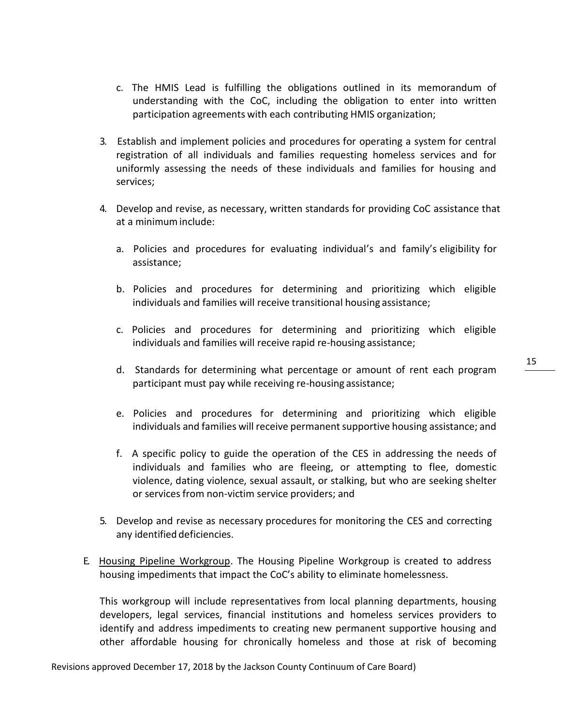- c. The HMIS Lead is fulfilling the obligations outlined in its memorandum of understanding with the CoC, including the obligation to enter into written participation agreements with each contributing HMIS organization;
- 3. Establish and implement policies and procedures for operating a system for central registration of all individuals and families requesting homeless services and for uniformly assessing the needs of these individuals and families for housing and services;
- 4. Develop and revise, as necessary, written standards for providing CoC assistance that at a minimuminclude:
	- a. Policies and procedures for evaluating individual's and family's eligibility for assistance;
	- b. Policies and procedures for determining and prioritizing which eligible individuals and families will receive transitional housing assistance;
	- c. Policies and procedures for determining and prioritizing which eligible individuals and families will receive rapid re-housing assistance;
	- d. Standards for determining what percentage or amount of rent each program participant must pay while receiving re-housing assistance;
	- e. Policies and procedures for determining and prioritizing which eligible individuals and families will receive permanent supportive housing assistance; and
	- f. A specific policy to guide the operation of the CES in addressing the needs of individuals and families who are fleeing, or attempting to flee, domestic violence, dating violence, sexual assault, or stalking, but who are seeking shelter or services from non-victim service providers; and
- 5. Develop and revise as necessary procedures for monitoring the CES and correcting any identified deficiencies.
- E. Housing Pipeline Workgroup. The Housing Pipeline Workgroup is created to address housing impediments that impact the CoC's ability to eliminate homelessness.

This workgroup will include representatives from local planning departments, housing developers, legal services, financial institutions and homeless services providers to identify and address impediments to creating new permanent supportive housing and other affordable housing for chronically homeless and those at risk of becoming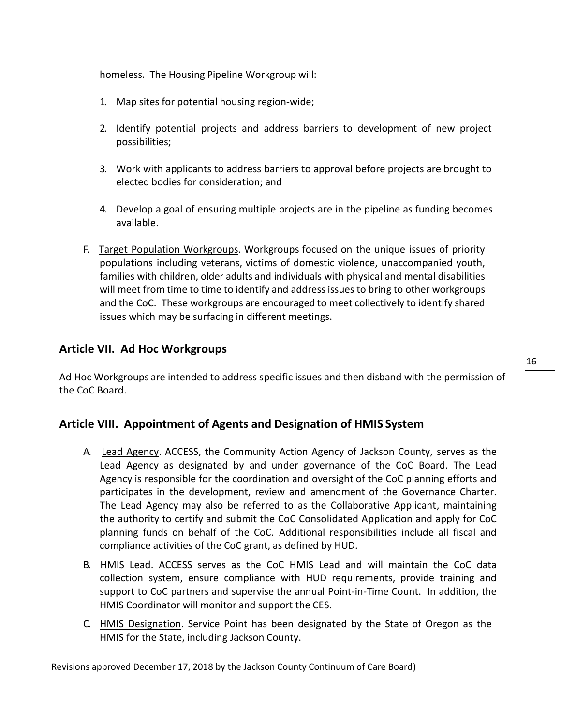homeless. The Housing Pipeline Workgroup will:

- 1. Map sites for potential housing region-wide;
- 2. Identify potential projects and address barriers to development of new project possibilities;
- 3. Work with applicants to address barriers to approval before projects are brought to elected bodies for consideration; and
- 4. Develop a goal of ensuring multiple projects are in the pipeline as funding becomes available.
- F. Target Population Workgroups. Workgroups focused on the unique issues of priority populations including veterans, victims of domestic violence, unaccompanied youth, families with children, older adults and individuals with physical and mental disabilities will meet from time to time to identify and address issues to bring to other workgroups and the CoC. These workgroups are encouraged to meet collectively to identify shared issues which may be surfacing in different meetings.

## **Article VII. Ad Hoc Workgroups**

Ad Hoc Workgroups are intended to address specific issues and then disband with the permission of the CoC Board.

### **Article VIII. Appointment of Agents and Designation of HMIS System**

- A. Lead Agency. ACCESS, the Community Action Agency of Jackson County, serves as the Lead Agency as designated by and under governance of the CoC Board. The Lead Agency is responsible for the coordination and oversight of the CoC planning efforts and participates in the development, review and amendment of the Governance Charter. The Lead Agency may also be referred to as the Collaborative Applicant, maintaining the authority to certify and submit the CoC Consolidated Application and apply for CoC planning funds on behalf of the CoC. Additional responsibilities include all fiscal and compliance activities of the CoC grant, as defined by HUD.
- B. HMIS Lead. ACCESS serves as the CoC HMIS Lead and will maintain the CoC data collection system, ensure compliance with HUD requirements, provide training and support to CoC partners and supervise the annual Point-in-Time Count. In addition, the HMIS Coordinator will monitor and support the CES.
- C. HMIS Designation. Service Point has been designated by the State of Oregon as the HMIS for the State, including Jackson County.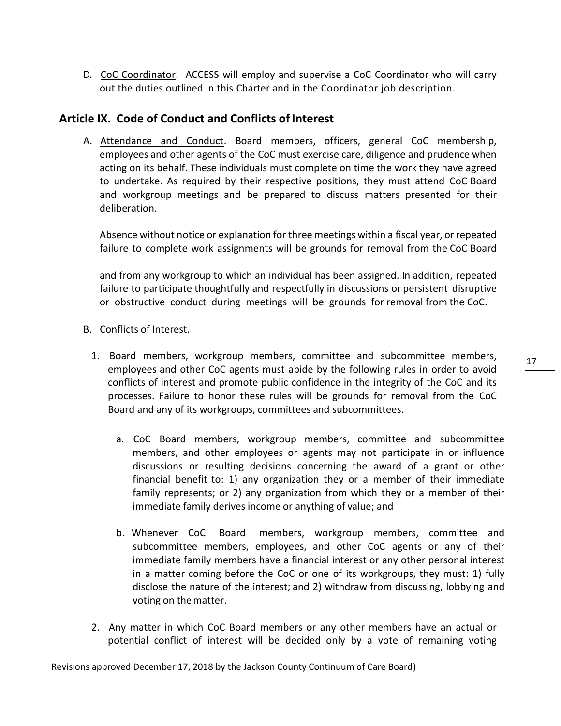D. CoC Coordinator. ACCESS will employ and supervise a CoC Coordinator who will carry out the duties outlined in this Charter and in the Coordinator job description.

### **Article IX. Code of Conduct and Conflicts of Interest**

A. Attendance and Conduct. Board members, officers, general CoC membership, employees and other agents of the CoC must exercise care, diligence and prudence when acting on its behalf. These individuals must complete on time the work they have agreed to undertake. As required by their respective positions, they must attend CoC Board and workgroup meetings and be prepared to discuss matters presented for their deliberation.

Absence without notice or explanation for three meetings within a fiscal year, or repeated failure to complete work assignments will be grounds for removal from the CoC Board

and from any workgroup to which an individual has been assigned. In addition, repeated failure to participate thoughtfully and respectfully in discussions or persistent disruptive or obstructive conduct during meetings will be grounds for removal from the CoC.

#### B. Conflicts of Interest.

- 1. Board members, workgroup members, committee and subcommittee members, employees and other CoC agents must abide by the following rules in order to avoid conflicts of interest and promote public confidence in the integrity of the CoC and its processes. Failure to honor these rules will be grounds for removal from the CoC Board and any of its workgroups, committees and subcommittees.
	- a. CoC Board members, workgroup members, committee and subcommittee members, and other employees or agents may not participate in or influence discussions or resulting decisions concerning the award of a grant or other financial benefit to: 1) any organization they or a member of their immediate family represents; or 2) any organization from which they or a member of their immediate family derives income or anything of value; and
	- b. Whenever CoC Board members, workgroup members, committee and subcommittee members, employees, and other CoC agents or any of their immediate family members have a financial interest or any other personal interest in a matter coming before the CoC or one of its workgroups, they must: 1) fully disclose the nature of the interest; and 2) withdraw from discussing, lobbying and voting on the matter.
- 2. Any matter in which CoC Board members or any other members have an actual or potential conflict of interest will be decided only by a vote of remaining voting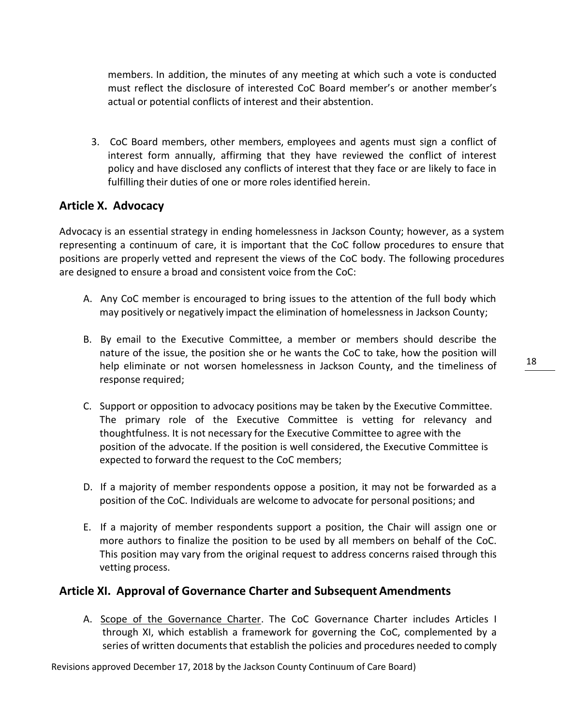members. In addition, the minutes of any meeting at which such a vote is conducted must reflect the disclosure of interested CoC Board member's or another member's actual or potential conflicts of interest and their abstention.

3. CoC Board members, other members, employees and agents must sign a conflict of interest form annually, affirming that they have reviewed the conflict of interest policy and have disclosed any conflicts of interest that they face or are likely to face in fulfilling their duties of one or more roles identified herein.

## **Article X. Advocacy**

Advocacy is an essential strategy in ending homelessness in Jackson County; however, as a system representing a continuum of care, it is important that the CoC follow procedures to ensure that positions are properly vetted and represent the views of the CoC body. The following procedures are designed to ensure a broad and consistent voice from the CoC:

- A. Any CoC member is encouraged to bring issues to the attention of the full body which may positively or negatively impact the elimination of homelessness in Jackson County;
- B. By email to the Executive Committee, a member or members should describe the nature of the issue, the position she or he wants the CoC to take, how the position will help eliminate or not worsen homelessness in Jackson County, and the timeliness of response required;
- C. Support or opposition to advocacy positions may be taken by the Executive Committee. The primary role of the Executive Committee is vetting for relevancy and thoughtfulness. It is not necessary for the Executive Committee to agree with the position of the advocate. If the position is well considered, the Executive Committee is expected to forward the request to the CoC members;
- D. If a majority of member respondents oppose a position, it may not be forwarded as a position of the CoC. Individuals are welcome to advocate for personal positions; and
- E. If a majority of member respondents support a position, the Chair will assign one or more authors to finalize the position to be used by all members on behalf of the CoC. This position may vary from the original request to address concerns raised through this vetting process.

## **Article XI. Approval of Governance Charter and Subsequent Amendments**

A. Scope of the Governance Charter. The CoC Governance Charter includes Articles I through XI, which establish a framework for governing the CoC, complemented by a series of written documents that establish the policies and procedures needed to comply